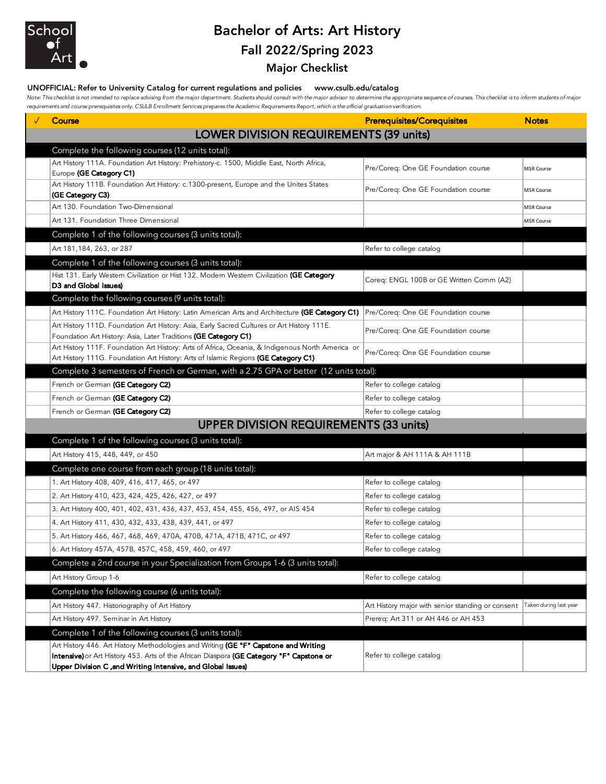

# Bachelor of Arts: Art History Fall 2022/Spring 2023

## Major Checklist

### UNOFFICIAL: Refer to University Catalog for current regulations and policies www.csulb.edu/catalog

Note: This checklist is not intended to replace advising from the major department. Students should consult with the major advisor to determine the appropriate sequence of courses. This checklist is to inform students of m *requirements and course prerequisites only. CSULB Enrollment Services prepares the Academic Requirements Report, which is the official graduation verification.*

| <b>Course</b>                                                                                                                                                                                                                                   | <b>Prerequisites/Corequisites</b>                                        | <b>Notes</b>      |
|-------------------------------------------------------------------------------------------------------------------------------------------------------------------------------------------------------------------------------------------------|--------------------------------------------------------------------------|-------------------|
| <b>LOWER DIVISION REQUIREMENTS (39 units)</b>                                                                                                                                                                                                   |                                                                          |                   |
| Complete the following courses (12 units total):                                                                                                                                                                                                |                                                                          |                   |
| Art History 111A. Foundation Art History: Prehistory-c. 1500, Middle East, North Africa,<br>Europe (GE Category C1)                                                                                                                             | Pre/Coreq: One GE Foundation course                                      | MSR Course        |
| Art History 111B. Foundation Art History: c.1300-present, Europe and the Unites States<br>(GE Category C3)                                                                                                                                      | Pre/Coreq: One GE Foundation course                                      | <b>MSR Course</b> |
| Art 130. Foundation Two-Dimensional                                                                                                                                                                                                             |                                                                          | <b>MSR Course</b> |
| Art 131. Foundation Three Dimensional                                                                                                                                                                                                           |                                                                          | <b>MSR Course</b> |
| Complete 1 of the following courses (3 units total):                                                                                                                                                                                            |                                                                          |                   |
| Art 181,184, 263, or 287                                                                                                                                                                                                                        | Refer to college catalog                                                 |                   |
| Complete 1 of the following courses (3 units total):                                                                                                                                                                                            |                                                                          |                   |
| Hist 131. Early Westem Civilization or Hist 132. Modern Westem Civilization (GE Category<br>D3 and Global Issues)                                                                                                                               | Coreq: ENGL 100B or GE Written Comm (A2)                                 |                   |
| Complete the following courses (9 units total):                                                                                                                                                                                                 |                                                                          |                   |
| Art History 111C. Foundation Art History: Latin American Arts and Architecture (GE Category C1) Pre/Coreq: One GE Foundation course                                                                                                             |                                                                          |                   |
| Art History 111D. Foundation Art History: Asia, Early Sacred Cultures or Art History 111E.<br>Foundation Art History: Asia, Later Traditions (GE Category C1)                                                                                   | Pre/Coreq: One GE Foundation course                                      |                   |
| Art History 111F. Foundation Art History: Arts of Africa, Oceania, & Indigenous North America or<br>Art History 111G. Foundation Art History: Arts of Islamic Regions (GE Category C1)                                                          | Pre/Coreq: One GE Foundation course                                      |                   |
| Complete 3 semesters of French or German, with a 2.75 GPA or better (12 units total):                                                                                                                                                           |                                                                          |                   |
| French or German (GE Category C2)                                                                                                                                                                                                               | Refer to college catalog                                                 |                   |
| French or German (GE Category C2)                                                                                                                                                                                                               | Refer to college catalog                                                 |                   |
| French or German (GE Category C2)                                                                                                                                                                                                               | Refer to college catalog                                                 |                   |
| <b>UPPER DIVISION REQUIREMENTS (33 units)</b>                                                                                                                                                                                                   |                                                                          |                   |
| Complete 1 of the following courses (3 units total):                                                                                                                                                                                            |                                                                          |                   |
| Art History 415, 448, 449, or 450                                                                                                                                                                                                               | Art major & AH 111A & AH 111B                                            |                   |
| Complete one course from each group (18 units total):                                                                                                                                                                                           |                                                                          |                   |
| 1. Art History 408, 409, 416, 417, 465, or 497                                                                                                                                                                                                  | Refer to college catalog                                                 |                   |
| 2. Art History 410, 423, 424, 425, 426, 427, or 497                                                                                                                                                                                             | Refer to college catalog                                                 |                   |
| 3. Art History 400, 401, 402, 431, 436, 437, 453, 454, 455, 456, 497, or AIS 454                                                                                                                                                                | Refer to college catalog                                                 |                   |
| 4. Art History 411, 430, 432, 433, 438, 439, 441, or 497                                                                                                                                                                                        | Refer to college catalog                                                 |                   |
| 5. Art History 466, 467, 468, 469, 470A, 470B, 471A, 471B, 471C, or 497                                                                                                                                                                         | Refer to college catalog                                                 |                   |
| 6. Art History 457A, 457B, 457C, 458, 459, 460, or 497                                                                                                                                                                                          | Refer to college catalog                                                 |                   |
| Complete a 2nd course in your Specialization from Groups 1-6 (3 units total):                                                                                                                                                                   |                                                                          |                   |
| Art History Group 1-6                                                                                                                                                                                                                           | Refer to college catalog                                                 |                   |
| Complete the following course (6 units total):                                                                                                                                                                                                  |                                                                          |                   |
| Art History 447. Historiography of Art History                                                                                                                                                                                                  | Art History major with senior standing or consent Taken during last year |                   |
| Art History 497. Seminar in Art History                                                                                                                                                                                                         | Prereq: Art 311 or AH 446 or AH 453                                      |                   |
| Complete 1 of the following courses (3 units total):                                                                                                                                                                                            |                                                                          |                   |
| Art History 446. Art History Methodologies and Writing (GE "F" Capstone and Writing<br>Intensive) or Art History 453. Arts of the African Diaspora (GE Category "F" Capstone or<br>Upper Division C , and Writing Intensive, and Global Issues) | Refer to college catalog                                                 |                   |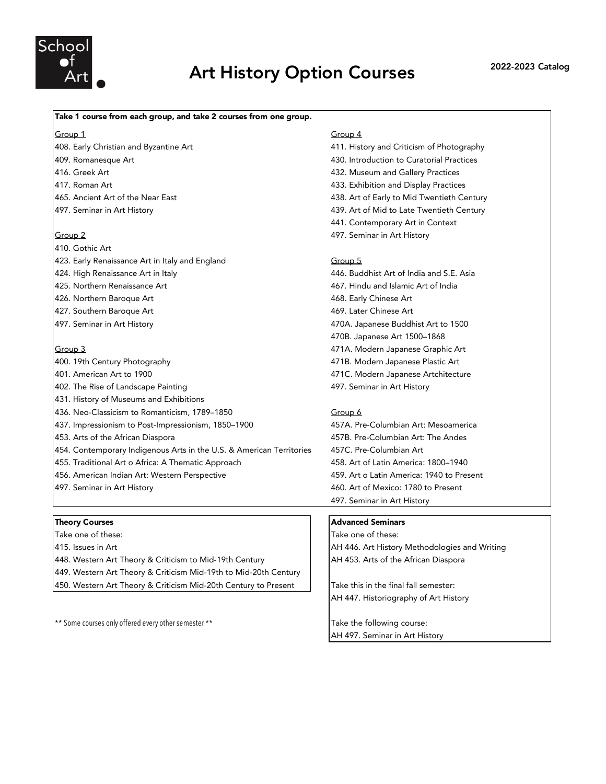

# Art History Option Courses 2022-2023 Catalog

### Take 1 course from each group, and take 2 courses from one group.

Group 1 Group 4

- 408. Early Christian and Byzantine Art 411. History and Criticism of Photography 416. Greek Art 432. Museum and Gallery Practices
- 
- 

- 410. Gothic Art
- 423. Early Renaissance Art in Italy and England Group 5
- 
- 
- 
- 

- 400. 19th Century Photography 471B. Modern Japanese Plastic Art 401. American Art to 1900 471C. Modern Japanese Artchitecture 402. The Rise of Landscape Painting 497. Seminar in Art History 431. History of Museums and Exhibitions 436. Neo-Classicism to Romanticism, 1789-1850 437. Impressionism to Post-Impressionism, 1850–1900 457A. Pre-Columbian Art: Mesoamerica 453. Arts of the African Diaspora 457B. Pre-Columbian Art: The Andes 454. Contemporary Indigenous Arts in the U.S. & American Territories 457C. Pre-Columbian Art 455. Traditional Art o Africa: A Thematic Approach 458. Art of Latin America: 1800–1940
- 456. American Indian Art: Western Perspective 459. Art o Latin America: 1940 to Present
- 

Take one of these: Take one of these: 415. Issues in Art AH 446. Art History Methodologies and Writing 448. Western Art Theory & Criticism to Mid-19th Century **AH 453. Arts of the African Diaspora** 449. Western Art Theory & Criticism Mid-19th to Mid-20th Century 450. Western Art Theory & Criticism Mid-20th Century to Present Take this in the final fall semester:

\*\* Some courses only offered every other semester \*\* Take the following course:

- 409. Romanesque Art 430. Introduction to Curatorial Practices 417. Roman Art 433. Exhibition and Display Practices 465. Ancient Art of the Near East 438. Art of Early to Mid Twentieth Century 497. Seminar in Art History 439. Art of Mid to Late Twentieth Century 441. Contemporary Art in Context Group 2 497. Seminar in Art History 424. High Renaissance Art in Italy 446. Buddhist Art of India and S.E. Asia
- 425. Northern Renaissance Art 467. Hindu and Islamic Art of India Action Art 1999 120 and 1448. Early Chinese Art 468. Early Chinese Art 1999 427. Southern Baroque Art 469. Later Chinese Art 497. Seminar in Art History 470A. Japanese Buddhist Art to 1500 470B. Japanese Art 1500–1868
- Group 3 471A. Modern Japanese Graphic Art
	-
	-
	-

497. Seminar in Art History 460. Art of Mexico: 1780 to Present 497. Seminar in Art History

### Theory Courses **Advanced Seminars** Advanced Seminars

AH 447. Historiography of Art History

AH 497. Seminar in Art History